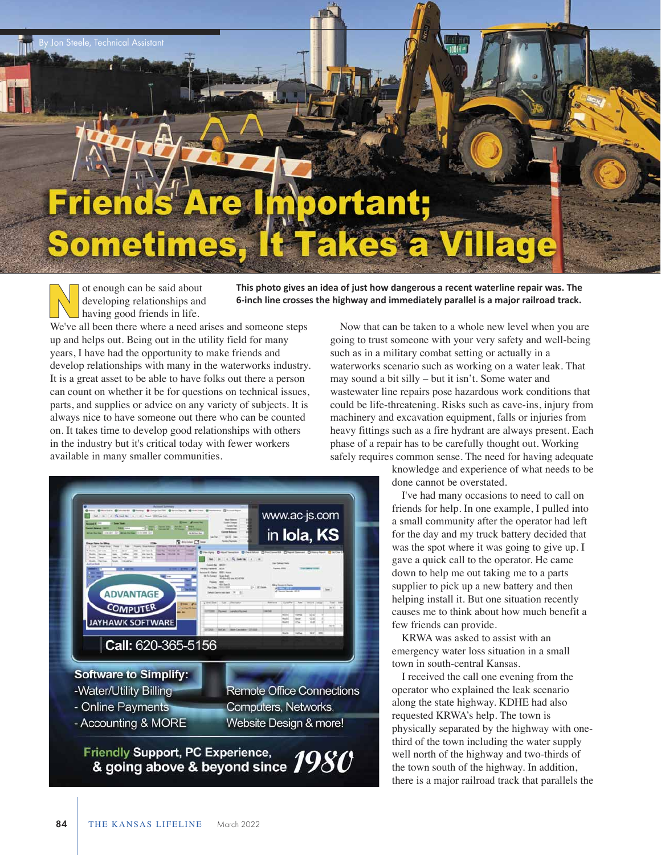

ot enough can be said about developing relationships and having good friends in life.

ot enough can be said about **This photo gives an idea of just how dangerous a recent waterline repair was. The developing relationships and <b>6-inch line crosses the highway and immediately parallel is a major railroad trac 6inch line crosses the highway and immediately parallel is a major railroad track.** 

We've all been there where a need arises and someone steps up and helps out. Being out in the utility field for many years, I have had the opportunity to make friends and develop relationships with many in the waterworks industry. It is a great asset to be able to have folks out there a person can count on whether it be for questions on technical issues, parts, and supplies or advice on any variety of subjects. It is always nice to have someone out there who can be counted on. It takes time to develop good relationships with others in the industry but it's critical today with fewer workers available in many smaller communities.



safely requires common sense. The need for having adequate knowledge and experience of what needs to be done cannot be overstated.

> I've had many occasions to need to call on friends for help. In one example, I pulled into a small community after the operator had left for the day and my truck battery decided that was the spot where it was going to give up. I gave a quick call to the operator. He came down to help me out taking me to a parts supplier to pick up a new battery and then helping install it. But one situation recently causes me to think about how much benefit a few friends can provide.

KRWA was asked to assist with an emergency water loss situation in a small town in south-central Kansas.

I received the call one evening from the operator who explained the leak scenario along the state highway. KDHE had also requested KRWA's help. The town is physically separated by the highway with onethird of the town including the water supply well north of the highway and two-thirds of the town south of the highway. In addition, there is a major railroad track that parallels the